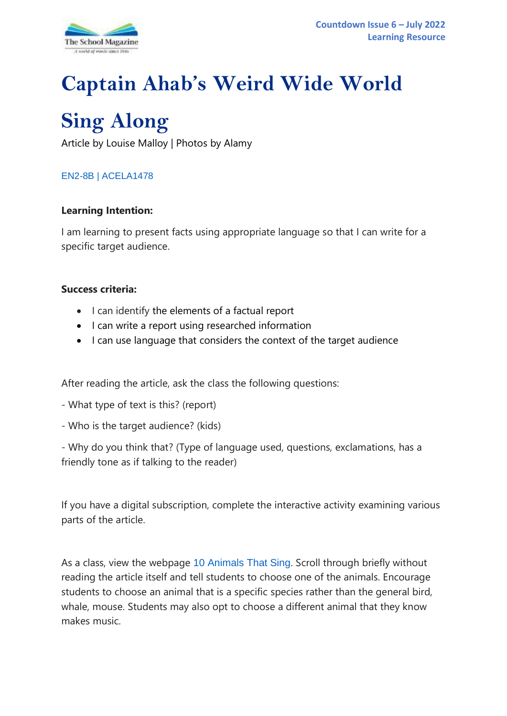

# **Captain Ahab's Weird Wide World**

# **Sing Along**

Article by Louise Malloy | Photos by Alamy

# [EN2-8B](https://educationstandards.nsw.edu.au/wps/portal/nesa/k-10/learning-areas/english-year-10/english-k-10/content/882) | [ACELA1478](https://www.australiancurriculum.edu.au/Search/?q=ACELA1478)

#### **Learning Intention:**

I am learning to present facts using appropriate language so that I can write for a specific target audience.

#### **Success criteria:**

- I can identify the elements of a factual report
- I can write a report using researched information
- I can use language that considers the context of the target audience

After reading the article, ask the class the following questions:

- What type of text is this? (report)
- Who is the target audience? (kids)

- Why do you think that? (Type of language used, questions, exclamations, has a friendly tone as if talking to the reader)

If you have a digital subscription, complete the interactive activity examining various parts of the article.

As a class, view the webpage [10 Animals That Sing](https://a-z-animals.com/blog/10-animals-that-sing/). Scroll through briefly without reading the article itself and tell students to choose one of the animals. Encourage students to choose an animal that is a specific species rather than the general bird, whale, mouse. Students may also opt to choose a different animal that they know makes music.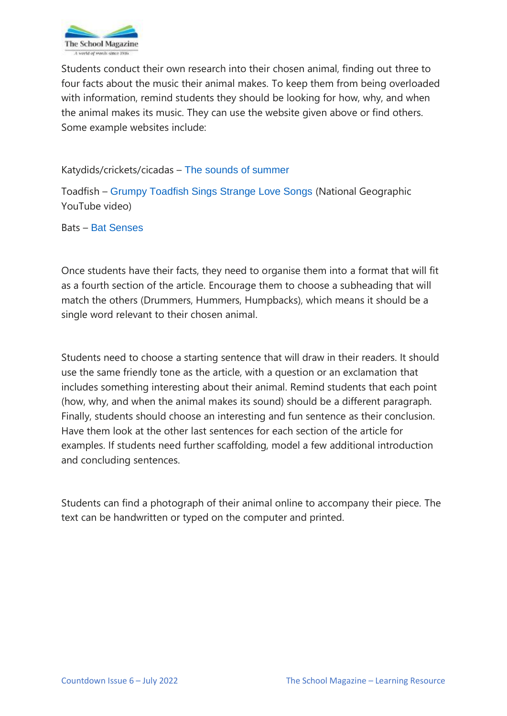

Students conduct their own research into their chosen animal, finding out three to four facts about the music their animal makes. To keep them from being overloaded with information, remind students they should be looking for how, why, and when the animal makes its music. They can use the website given above or find others. Some example websites include:

#### Katydids/crickets/cicadas – [The sounds of summer](https://www.willyswilderness.org/post/the-sounds-of-summer-how-do-insects-sing)

Toadfish – [Grumpy Toadfish Sings Strange Love Songs](https://www.youtube.com/watch?v=7ayMhV0hALw) (National Geographic YouTube video)

Bats – [Bat Senses](https://www.kidzone.ws/animals/bats/facts8.htm)

Once students have their facts, they need to organise them into a format that will fit as a fourth section of the article. Encourage them to choose a subheading that will match the others (Drummers, Hummers, Humpbacks), which means it should be a single word relevant to their chosen animal.

Students need to choose a starting sentence that will draw in their readers. It should use the same friendly tone as the article, with a question or an exclamation that includes something interesting about their animal. Remind students that each point (how, why, and when the animal makes its sound) should be a different paragraph. Finally, students should choose an interesting and fun sentence as their conclusion. Have them look at the other last sentences for each section of the article for examples. If students need further scaffolding, model a few additional introduction and concluding sentences.

Students can find a photograph of their animal online to accompany their piece. The text can be handwritten or typed on the computer and printed.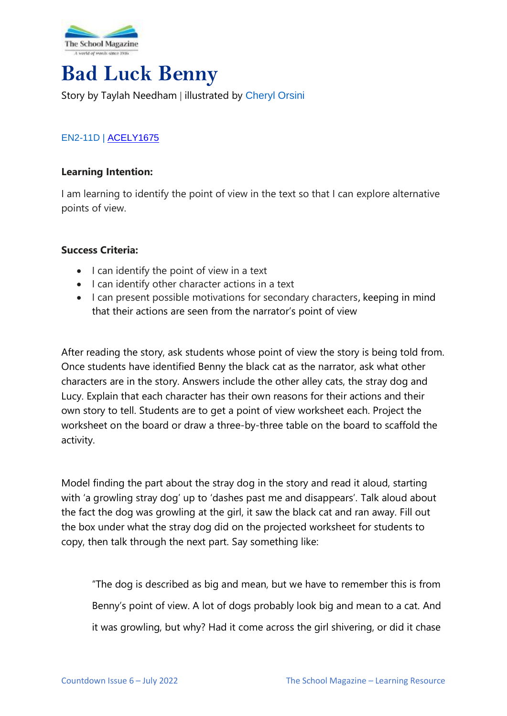

# **Bad Luck Benny**

# Story by Taylah Needham | illustrated by [Cheryl Orsini](https://www.cherylorsini.com/contact.html)

# [EN2-11D](https://educationstandards.nsw.edu.au/wps/portal/nesa/k-10/learning-areas/english-year-10/english-k-10/content/890) | [ACELY1675](https://www.australiancurriculum.edu.au/Search/?q=acely1675)

#### **Learning Intention:**

I am learning to identify the point of view in the text so that I can explore alternative points of view.

#### **Success Criteria:**

- I can identify the point of view in a text
- I can identify other character actions in a text
- I can present possible motivations for secondary characters, keeping in mind that their actions are seen from the narrator's point of view

After reading the story, ask students whose point of view the story is being told from. Once students have identified Benny the black cat as the narrator, ask what other characters are in the story. Answers include the other alley cats, the stray dog and Lucy. Explain that each character has their own reasons for their actions and their own story to tell. Students are to get a point of view worksheet each. Project the worksheet on the board or draw a three-by-three table on the board to scaffold the activity.

Model finding the part about the stray dog in the story and read it aloud, starting with 'a growling stray dog' up to 'dashes past me and disappears'. Talk aloud about the fact the dog was growling at the girl, it saw the black cat and ran away. Fill out the box under what the stray dog did on the projected worksheet for students to copy, then talk through the next part. Say something like:

"The dog is described as big and mean, but we have to remember this is from Benny's point of view. A lot of dogs probably look big and mean to a cat. And it was growling, but why? Had it come across the girl shivering, or did it chase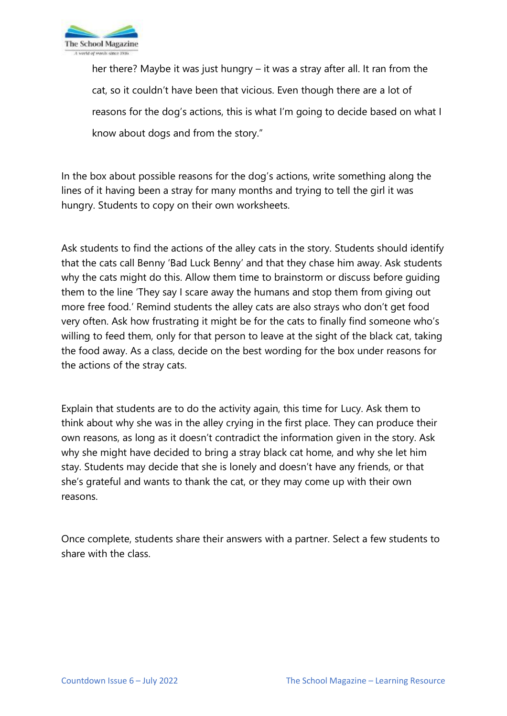

her there? Maybe it was just hungry – it was a stray after all. It ran from the cat, so it couldn't have been that vicious. Even though there are a lot of reasons for the dog's actions, this is what I'm going to decide based on what I know about dogs and from the story."

In the box about possible reasons for the dog's actions, write something along the lines of it having been a stray for many months and trying to tell the girl it was hungry. Students to copy on their own worksheets.

Ask students to find the actions of the alley cats in the story. Students should identify that the cats call Benny 'Bad Luck Benny' and that they chase him away. Ask students why the cats might do this. Allow them time to brainstorm or discuss before guiding them to the line 'They say I scare away the humans and stop them from giving out more free food.' Remind students the alley cats are also strays who don't get food very often. Ask how frustrating it might be for the cats to finally find someone who's willing to feed them, only for that person to leave at the sight of the black cat, taking the food away. As a class, decide on the best wording for the box under reasons for the actions of the stray cats.

Explain that students are to do the activity again, this time for Lucy. Ask them to think about why she was in the alley crying in the first place. They can produce their own reasons, as long as it doesn't contradict the information given in the story. Ask why she might have decided to bring a stray black cat home, and why she let him stay. Students may decide that she is lonely and doesn't have any friends, or that she's grateful and wants to thank the cat, or they may come up with their own reasons.

Once complete, students share their answers with a partner. Select a few students to share with the class.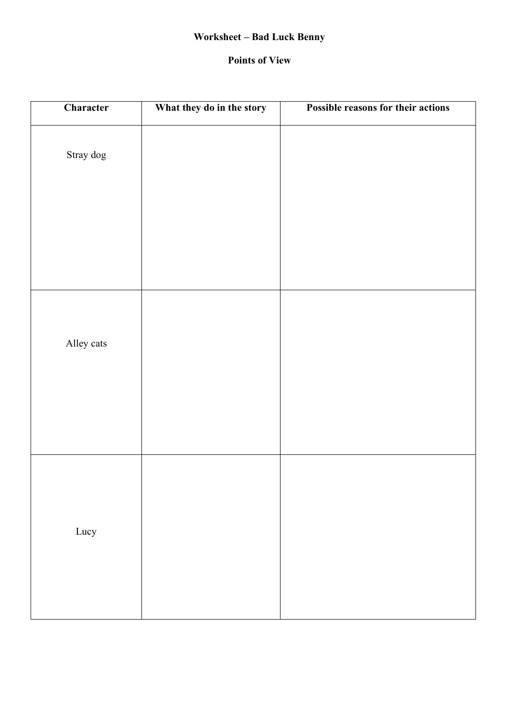# **Worksheet – Bad Luck Benny**

#### **Points of View**

| Character  | What they do in the story | Possible reasons for their actions |
|------------|---------------------------|------------------------------------|
| Stray dog  |                           |                                    |
| Alley cats |                           |                                    |
| Lucy       |                           |                                    |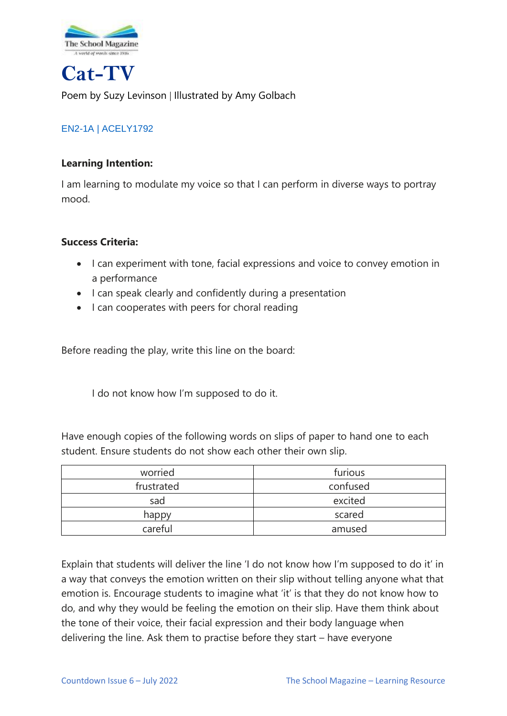

**Cat-TV**

Poem by Suzy Levinson | Illustrated by Amy Golbach

# [EN2-1A](https://educationstandards.nsw.edu.au/wps/portal/nesa/k-10/learning-areas/english-year-10/english-k-10/content/881) | [ACELY1792](https://www.australiancurriculum.edu.au/Search/?q=ACELY1792)

## **Learning Intention:**

I am learning to modulate my voice so that I can perform in diverse ways to portray mood.

## **Success Criteria:**

- I can experiment with tone, facial expressions and voice to convey emotion in a performance
- I can speak clearly and confidently during a presentation
- I can cooperates with peers for choral reading

Before reading the play, write this line on the board:

I do not know how I'm supposed to do it.

Have enough copies of the following words on slips of paper to hand one to each student. Ensure students do not show each other their own slip.

| worried    | furious  |
|------------|----------|
| frustrated | confused |
| sad        | excited  |
| happy      | scared   |
| careful    | amused   |

Explain that students will deliver the line 'I do not know how I'm supposed to do it' in a way that conveys the emotion written on their slip without telling anyone what that emotion is. Encourage students to imagine what 'it' is that they do not know how to do, and why they would be feeling the emotion on their slip. Have them think about the tone of their voice, their facial expression and their body language when delivering the line. Ask them to practise before they start – have everyone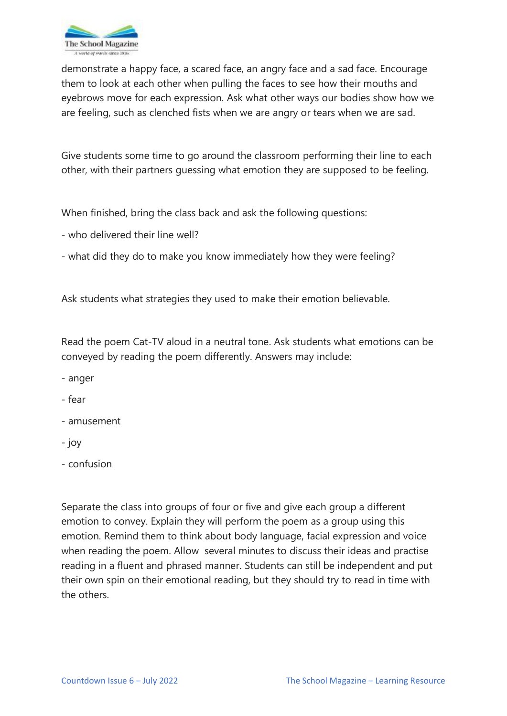

demonstrate a happy face, a scared face, an angry face and a sad face. Encourage them to look at each other when pulling the faces to see how their mouths and eyebrows move for each expression. Ask what other ways our bodies show how we are feeling, such as clenched fists when we are angry or tears when we are sad.

Give students some time to go around the classroom performing their line to each other, with their partners guessing what emotion they are supposed to be feeling.

When finished, bring the class back and ask the following questions:

- who delivered their line well?

- what did they do to make you know immediately how they were feeling?

Ask students what strategies they used to make their emotion believable.

Read the poem Cat-TV aloud in a neutral tone. Ask students what emotions can be conveyed by reading the poem differently. Answers may include:

- anger

- fear

- amusement
- joy

- confusion

Separate the class into groups of four or five and give each group a different emotion to convey. Explain they will perform the poem as a group using this emotion. Remind them to think about body language, facial expression and voice when reading the poem. Allow several minutes to discuss their ideas and practise reading in a fluent and phrased manner. Students can still be independent and put their own spin on their emotional reading, but they should try to read in time with the others.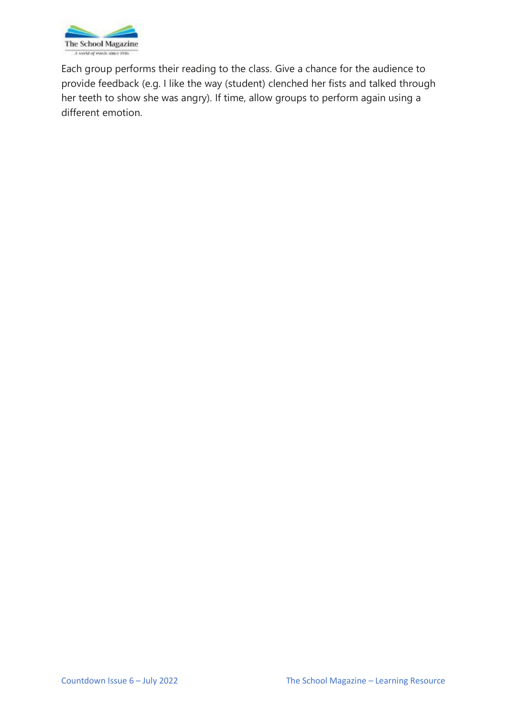

Each group performs their reading to the class. Give a chance for the audience to provide feedback (e.g. I like the way (student) clenched her fists and talked through her teeth to show she was angry). If time, allow groups to perform again using a different emotion.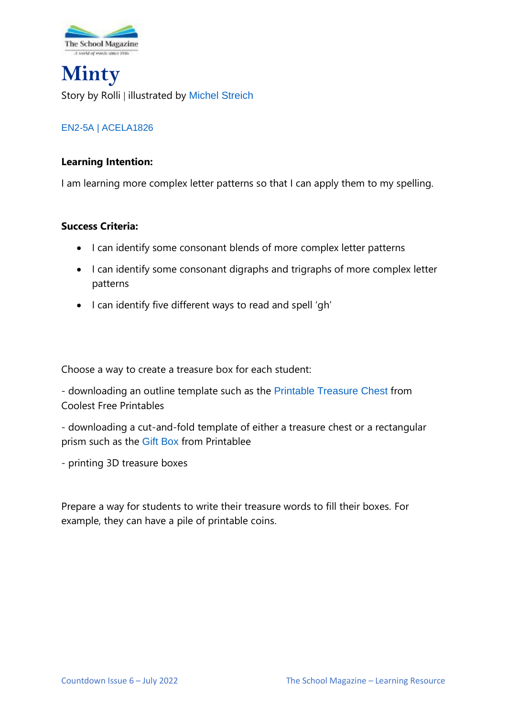

**Minty** Story by Rolli | illustrated by [Michel Streich](https://michelstreich.com/)

# [EN2-5A](https://educationstandards.nsw.edu.au/wps/portal/nesa/k-10/learning-areas/english-year-10/english-k-10/content/886) | [ACELA1826](https://www.australiancurriculum.edu.au/Search/?q=ACELA1826)

#### **Learning Intention:**

I am learning more complex letter patterns so that I can apply them to my spelling.

#### **Success Criteria:**

- I can identify some consonant blends of more complex letter patterns
- I can identify some consonant digraphs and trigraphs of more complex letter patterns
- I can identify five different ways to read and spell 'gh'

Choose a way to create a treasure box for each student:

- downloading an outline template such as the [Printable Treasure Chest](https://www.coolest-free-printables.com/2013/02/03/printable-treasure-chest/) from Coolest Free Printables

- downloading a cut-and-fold template of either a treasure chest or a rectangular prism such as the [Gift Box](https://www.printablee.com/post_gift-box-with-lid-template-printables_136461/) from Printablee

- printing 3D treasure boxes

Prepare a way for students to write their treasure words to fill their boxes. For example, they can have a pile of printable coins.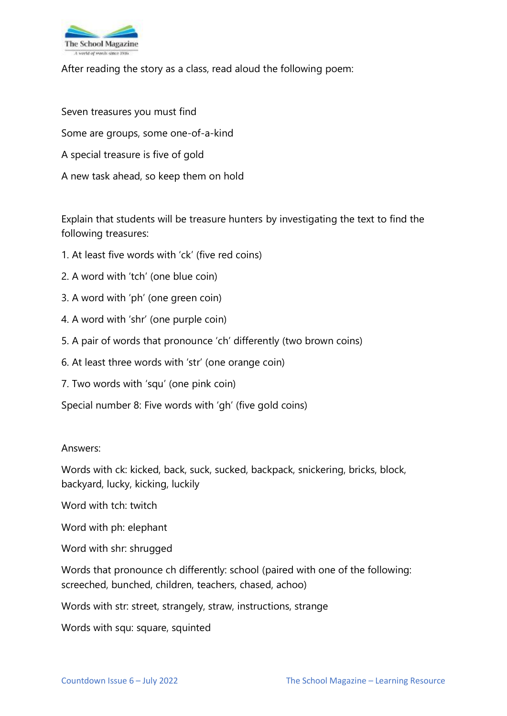

After reading the story as a class, read aloud the following poem:

Seven treasures you must find Some are groups, some one-of-a-kind A special treasure is five of gold A new task ahead, so keep them on hold

Explain that students will be treasure hunters by investigating the text to find the following treasures:

- 1. At least five words with 'ck' (five red coins)
- 2. A word with 'tch' (one blue coin)
- 3. A word with 'ph' (one green coin)
- 4. A word with 'shr' (one purple coin)
- 5. A pair of words that pronounce 'ch' differently (two brown coins)
- 6. At least three words with 'str' (one orange coin)
- 7. Two words with 'squ' (one pink coin)
- Special number 8: Five words with 'gh' (five gold coins)

#### Answers:

Words with ck: kicked, back, suck, sucked, backpack, snickering, bricks, block, backyard, lucky, kicking, luckily

Word with tch: twitch

- Word with ph: elephant
- Word with shr: shrugged

Words that pronounce ch differently: school (paired with one of the following: screeched, bunched, children, teachers, chased, achoo)

Words with str: street, strangely, straw, instructions, strange

Words with squ: square, squinted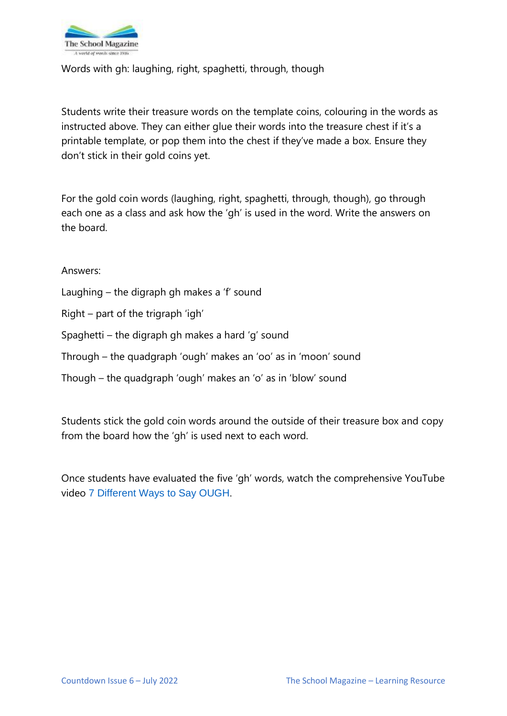

Words with gh: laughing, right, spaghetti, through, though

Students write their treasure words on the template coins, colouring in the words as instructed above. They can either glue their words into the treasure chest if it's a printable template, or pop them into the chest if they've made a box. Ensure they don't stick in their gold coins yet.

For the gold coin words (laughing, right, spaghetti, through, though), go through each one as a class and ask how the 'gh' is used in the word. Write the answers on the board.

Answers:

- Laughing the digraph gh makes a 'f' sound
- Right part of the trigraph 'igh'
- Spaghetti the digraph gh makes a hard 'g' sound
- Through the quadgraph 'ough' makes an 'oo' as in 'moon' sound
- Though the quadgraph 'ough' makes an 'o' as in 'blow' sound

Students stick the gold coin words around the outside of their treasure box and copy from the board how the 'gh' is used next to each word.

Once students have evaluated the five 'gh' words, watch the comprehensive YouTube video [7 Different Ways to Say OUGH](https://www.youtube.com/watch?v=wmcxCU1BmXc).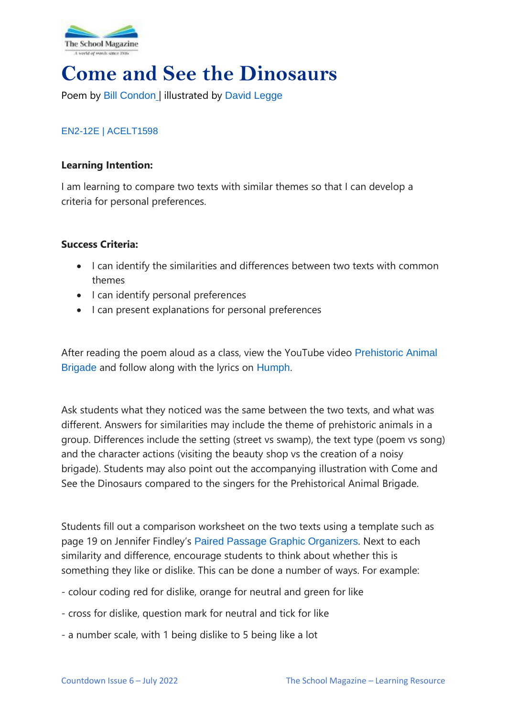

# **Come and See the Dinosaurs**

Poem by [Bill Condon](https://www.hachette.com.au/bill-condon/) | illustrated by [David Legge](https://www.harpercollins.com.au/cr-109865/david-legge/)

## [EN2-12E](https://educationstandards.nsw.edu.au/wps/portal/nesa/k-10/learning-areas/english-year-10/english-k-10/content/891) | [ACELT1598](https://www.australiancurriculum.edu.au/Search/?q=ACELT1598)

#### **Learning Intention:**

I am learning to compare two texts with similar themes so that I can develop a criteria for personal preferences.

#### **Success Criteria:**

- I can identify the similarities and differences between two texts with common themes
- I can identify personal preferences
- I can present explanations for personal preferences

After reading the poem aloud as a class, view the YouTube video [Prehistoric Animal](https://www.youtube.com/watch?v=ahcNm9ypq3c)  [Brigade](https://www.youtube.com/watch?v=ahcNm9ypq3c) and follow along with the lyrics on [Humph](http://humph.org/lw/concerts/kids08/music/The%20Prehistoric%20Animal%20Brigade%20Lyrics.pdf).

Ask students what they noticed was the same between the two texts, and what was different. Answers for similarities may include the theme of prehistoric animals in a group. Differences include the setting (street vs swamp), the text type (poem vs song) and the character actions (visiting the beauty shop vs the creation of a noisy brigade). Students may also point out the accompanying illustration with Come and See the Dinosaurs compared to the singers for the Prehistorical Animal Brigade.

Students fill out a comparison worksheet on the two texts using a template such as page 19 on Jennifer Findley's [Paired Passage Graphic Organizers](https://jenniferfindley.com/wp-content/uploads/2019/06/Paired-Passage-Graphic-Organizers.pdf). Next to each similarity and difference, encourage students to think about whether this is something they like or dislike. This can be done a number of ways. For example:

- colour coding red for dislike, orange for neutral and green for like
- cross for dislike, question mark for neutral and tick for like
- a number scale, with 1 being dislike to 5 being like a lot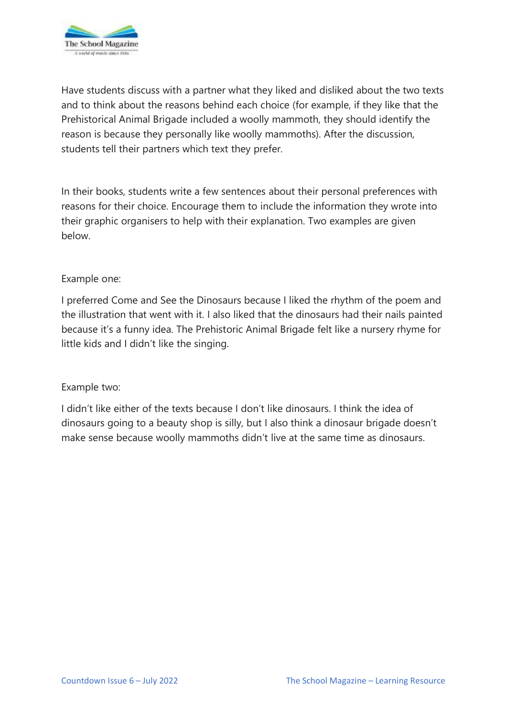

Have students discuss with a partner what they liked and disliked about the two texts and to think about the reasons behind each choice (for example, if they like that the Prehistorical Animal Brigade included a woolly mammoth, they should identify the reason is because they personally like woolly mammoths). After the discussion, students tell their partners which text they prefer.

In their books, students write a few sentences about their personal preferences with reasons for their choice. Encourage them to include the information they wrote into their graphic organisers to help with their explanation. Two examples are given below.

#### Example one:

I preferred Come and See the Dinosaurs because I liked the rhythm of the poem and the illustration that went with it. I also liked that the dinosaurs had their nails painted because it's a funny idea. The Prehistoric Animal Brigade felt like a nursery rhyme for little kids and I didn't like the singing.

#### Example two:

I didn't like either of the texts because I don't like dinosaurs. I think the idea of dinosaurs going to a beauty shop is silly, but I also think a dinosaur brigade doesn't make sense because woolly mammoths didn't live at the same time as dinosaurs.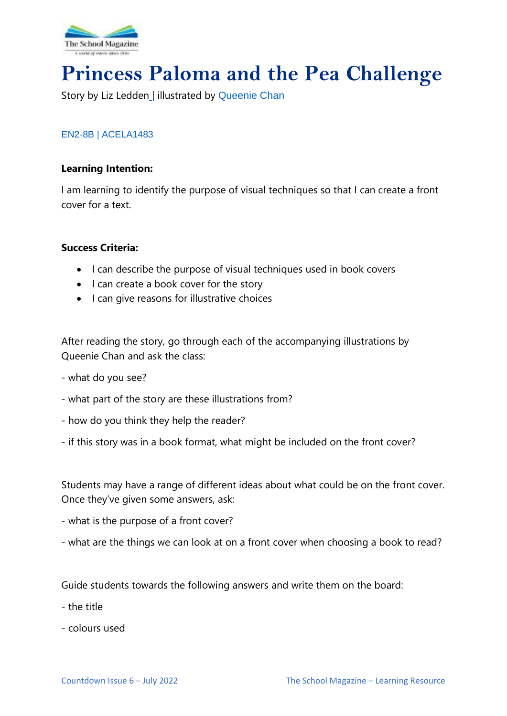

# **Princess Paloma and the Pea Challenge**

Story by Liz Ledden | illustrated by [Queenie Chan](https://queeniechan.com/?v=322b26af01d5)

#### [EN2-8B](https://educationstandards.nsw.edu.au/wps/portal/nesa/k-10/learning-areas/english-year-10/english-k-10/content/882) | [ACELA1483](https://www.australiancurriculum.edu.au/Search/?q=ACELA1483)

#### **Learning Intention:**

I am learning to identify the purpose of visual techniques so that I can create a front cover for a text.

#### **Success Criteria:**

- I can describe the purpose of visual techniques used in book covers
- I can create a book cover for the story
- I can give reasons for illustrative choices

After reading the story, go through each of the accompanying illustrations by Queenie Chan and ask the class:

- what do you see?
- what part of the story are these illustrations from?
- how do you think they help the reader?
- if this story was in a book format, what might be included on the front cover?

Students may have a range of different ideas about what could be on the front cover. Once they've given some answers, ask:

- what is the purpose of a front cover?
- what are the things we can look at on a front cover when choosing a book to read?

Guide students towards the following answers and write them on the board:

- the title
- colours used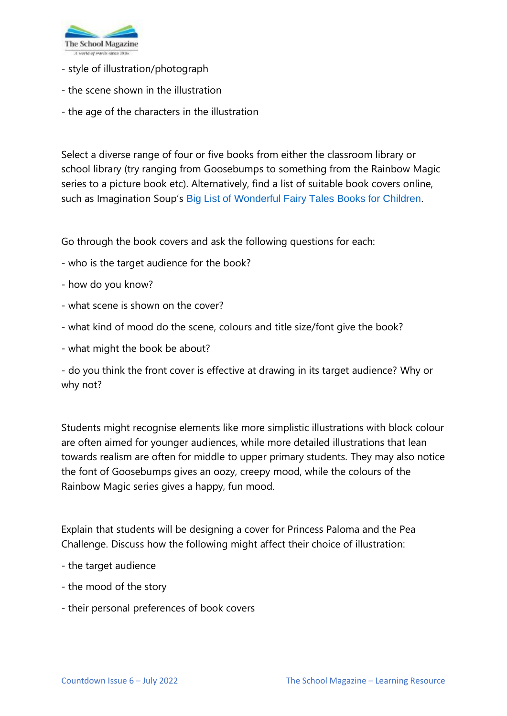

- style of illustration/photograph
- the scene shown in the illustration
- the age of the characters in the illustration

Select a diverse range of four or five books from either the classroom library or school library (try ranging from Goosebumps to something from the Rainbow Magic series to a picture book etc). Alternatively, find a list of suitable book covers online, such as Imagination Soup's [Big List of Wonderful Fairy Tales Books for Children](https://imaginationsoup.net/fairy-tales-books-children/).

Go through the book covers and ask the following questions for each:

- who is the target audience for the book?
- how do you know?
- what scene is shown on the cover?
- what kind of mood do the scene, colours and title size/font give the book?
- what might the book be about?

- do you think the front cover is effective at drawing in its target audience? Why or why not?

Students might recognise elements like more simplistic illustrations with block colour are often aimed for younger audiences, while more detailed illustrations that lean towards realism are often for middle to upper primary students. They may also notice the font of Goosebumps gives an oozy, creepy mood, while the colours of the Rainbow Magic series gives a happy, fun mood.

Explain that students will be designing a cover for Princess Paloma and the Pea Challenge. Discuss how the following might affect their choice of illustration:

- the target audience
- the mood of the story
- their personal preferences of book covers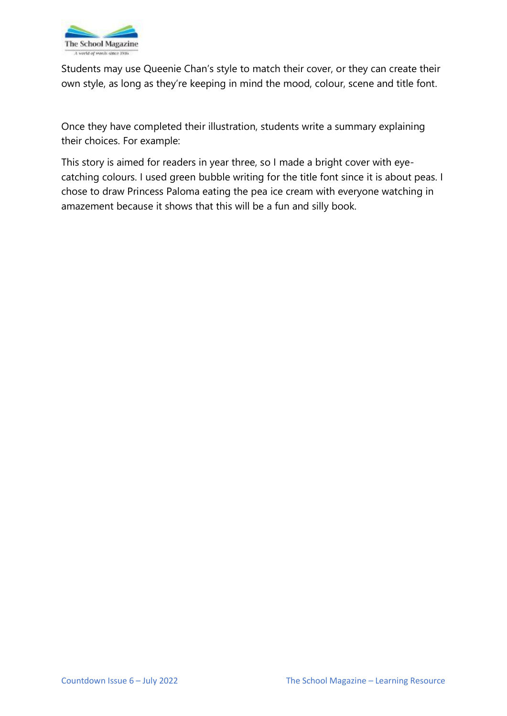

Students may use Queenie Chan's style to match their cover, or they can create their own style, as long as they're keeping in mind the mood, colour, scene and title font.

Once they have completed their illustration, students write a summary explaining their choices. For example:

This story is aimed for readers in year three, so I made a bright cover with eyecatching colours. I used green bubble writing for the title font since it is about peas. I chose to draw Princess Paloma eating the pea ice cream with everyone watching in amazement because it shows that this will be a fun and silly book.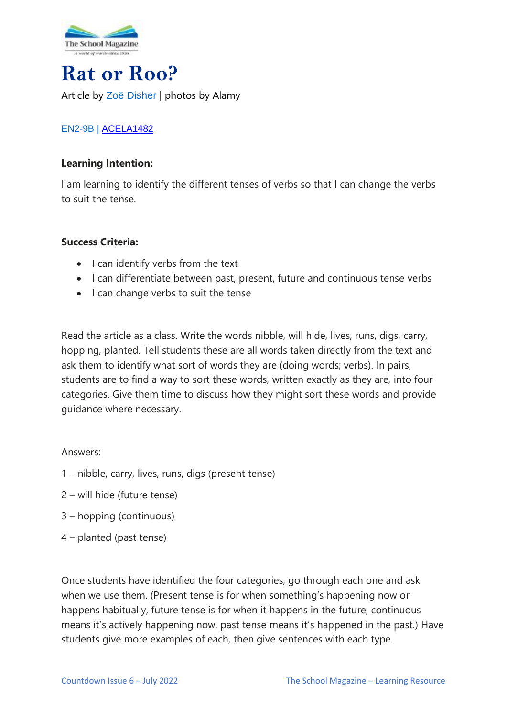

# **Rat or Roo?** Article by Zoë [Disher](http://zoedisher.com.au/) | photos by Alamy

# [EN2-9B](https://educationstandards.nsw.edu.au/wps/portal/nesa/k-10/learning-areas/english-year-10/english-k-10/content/885) | [ACELA1482](https://www.australiancurriculum.edu.au/Search/?q=acela1482)

## **Learning Intention:**

I am learning to identify the different tenses of verbs so that I can change the verbs to suit the tense.

## **Success Criteria:**

- I can identify verbs from the text
- I can differentiate between past, present, future and continuous tense verbs
- I can change verbs to suit the tense

Read the article as a class. Write the words nibble, will hide, lives, runs, digs, carry, hopping, planted. Tell students these are all words taken directly from the text and ask them to identify what sort of words they are (doing words; verbs). In pairs, students are to find a way to sort these words, written exactly as they are, into four categories. Give them time to discuss how they might sort these words and provide guidance where necessary.

## Answers:

- 1 nibble, carry, lives, runs, digs (present tense)
- 2 will hide (future tense)
- 3 hopping (continuous)
- 4 planted (past tense)

Once students have identified the four categories, go through each one and ask when we use them. (Present tense is for when something's happening now or happens habitually, future tense is for when it happens in the future, continuous means it's actively happening now, past tense means it's happened in the past.) Have students give more examples of each, then give sentences with each type.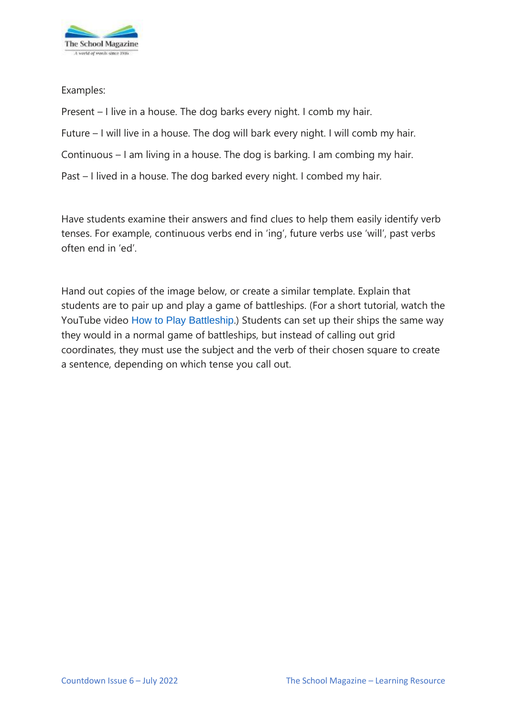

Examples:

Present – I live in a house. The dog barks every night. I comb my hair. Future – I will live in a house. The dog will bark every night. I will comb my hair. Continuous – I am living in a house. The dog is barking. I am combing my hair. Past – I lived in a house. The dog barked every night. I combed my hair.

Have students examine their answers and find clues to help them easily identify verb tenses. For example, continuous verbs end in 'ing', future verbs use 'will', past verbs often end in 'ed'.

Hand out copies of the image below, or create a similar template. Explain that students are to pair up and play a game of battleships. (For a short tutorial, watch the YouTube video [How to Play Battleship](https://www.youtube.com/watch?v=4gHJlYLomrs).) Students can set up their ships the same way they would in a normal game of battleships, but instead of calling out grid coordinates, they must use the subject and the verb of their chosen square to create a sentence, depending on which tense you call out.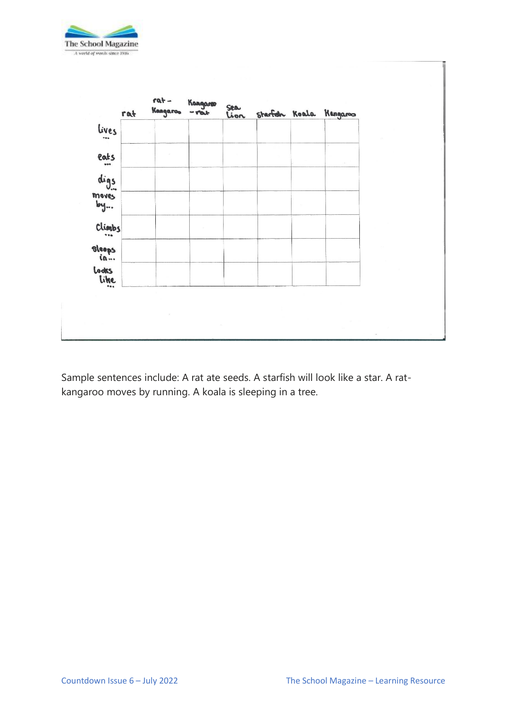



Sample sentences include: A rat ate seeds. A starfish will look like a star. A ratkangaroo moves by running. A koala is sleeping in a tree.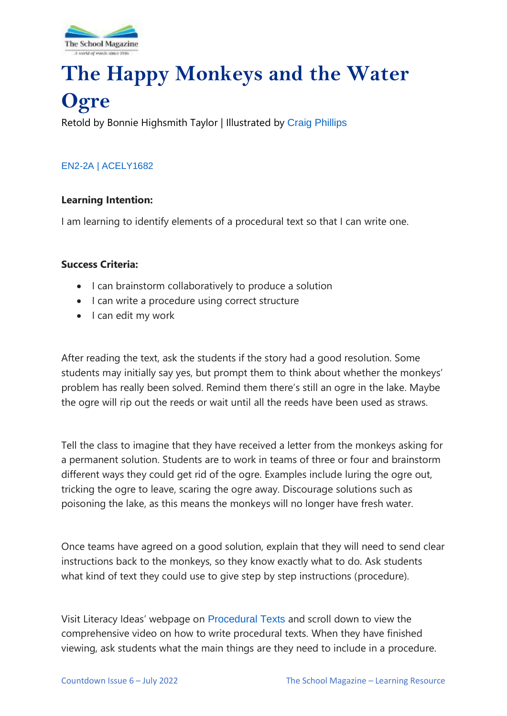

# **The Happy Monkeys and the Water Ogre**

Retold by Bonnie Highsmith Taylor | Illustrated by [Craig Phillips](https://www.shannonassociates.com/craigphillips)

## [EN2-2A](https://educationstandards.nsw.edu.au/wps/portal/nesa/k-10/learning-areas/english-year-10/english-k-10/content/887) | [ACELY1682](https://www.australiancurriculum.edu.au/Search/?q=acely1682)

#### **Learning Intention:**

I am learning to identify elements of a procedural text so that I can write one.

#### **Success Criteria:**

- I can brainstorm collaboratively to produce a solution
- I can write a procedure using correct structure
- I can edit my work

After reading the text, ask the students if the story had a good resolution. Some students may initially say yes, but prompt them to think about whether the monkeys' problem has really been solved. Remind them there's still an ogre in the lake. Maybe the ogre will rip out the reeds or wait until all the reeds have been used as straws.

Tell the class to imagine that they have received a letter from the monkeys asking for a permanent solution. Students are to work in teams of three or four and brainstorm different ways they could get rid of the ogre. Examples include luring the ogre out, tricking the ogre to leave, scaring the ogre away. Discourage solutions such as poisoning the lake, as this means the monkeys will no longer have fresh water.

Once teams have agreed on a good solution, explain that they will need to send clear instructions back to the monkeys, so they know exactly what to do. Ask students what kind of text they could use to give step by step instructions (procedure).

Visit Literacy Ideas' webpage on [Procedural Texts](https://literacyideas.com/procedural-texts/) and scroll down to view the comprehensive video on how to write procedural texts. When they have finished viewing, ask students what the main things are they need to include in a procedure.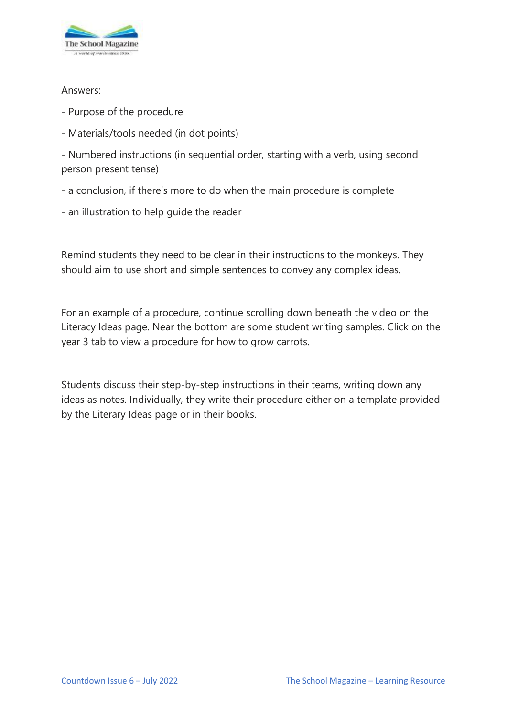

#### Answers:

- Purpose of the procedure
- Materials/tools needed (in dot points)

- Numbered instructions (in sequential order, starting with a verb, using second person present tense)

- a conclusion, if there's more to do when the main procedure is complete
- an illustration to help guide the reader

Remind students they need to be clear in their instructions to the monkeys. They should aim to use short and simple sentences to convey any complex ideas.

For an example of a procedure, continue scrolling down beneath the video on the Literacy Ideas page. Near the bottom are some student writing samples. Click on the year 3 tab to view a procedure for how to grow carrots.

Students discuss their step-by-step instructions in their teams, writing down any ideas as notes. Individually, they write their procedure either on a template provided by the Literary Ideas page or in their books.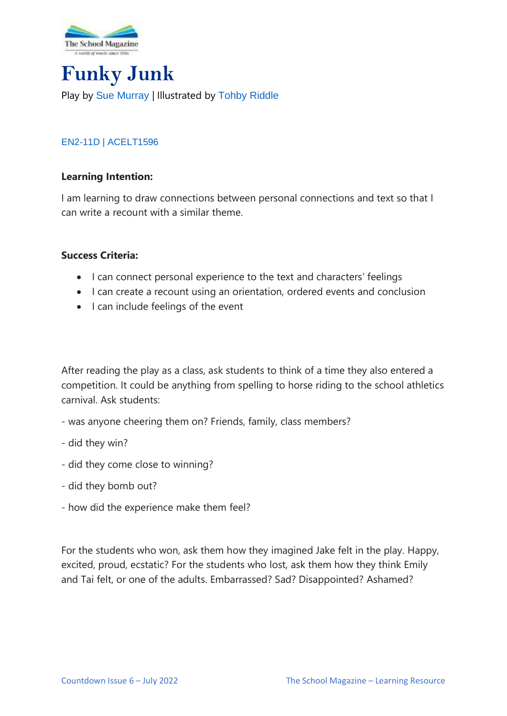

# **Funky Junk** Play by [Sue Murray](https://www.suemurray.com.au/) | Illustrated by [Tohby Riddle](https://www.penguin.com.au/authors/tohby-riddle)

# [EN2-11D](https://educationstandards.nsw.edu.au/wps/portal/nesa/k-10/learning-areas/english-year-10/english-k-10/content/890) | [ACELT1596](https://www.australiancurriculum.edu.au/Search/?q=ACELT1596)

#### **Learning Intention:**

I am learning to draw connections between personal connections and text so that I can write a recount with a similar theme.

#### **Success Criteria:**

- I can connect personal experience to the text and characters' feelings
- I can create a recount using an orientation, ordered events and conclusion
- I can include feelings of the event

After reading the play as a class, ask students to think of a time they also entered a competition. It could be anything from spelling to horse riding to the school athletics carnival. Ask students:

- was anyone cheering them on? Friends, family, class members?
- did they win?
- did they come close to winning?
- did they bomb out?
- how did the experience make them feel?

For the students who won, ask them how they imagined Jake felt in the play. Happy, excited, proud, ecstatic? For the students who lost, ask them how they think Emily and Tai felt, or one of the adults. Embarrassed? Sad? Disappointed? Ashamed?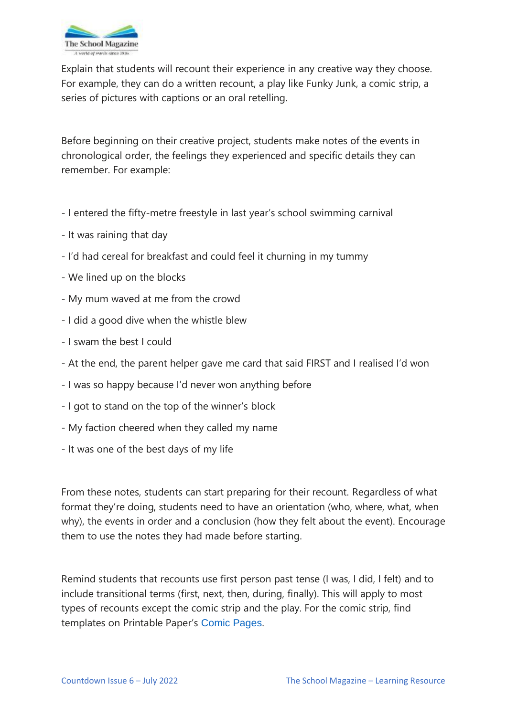

Explain that students will recount their experience in any creative way they choose. For example, they can do a written recount, a play like Funky Junk, a comic strip, a series of pictures with captions or an oral retelling.

Before beginning on their creative project, students make notes of the events in chronological order, the feelings they experienced and specific details they can remember. For example:

- I entered the fifty-metre freestyle in last year's school swimming carnival
- It was raining that day
- I'd had cereal for breakfast and could feel it churning in my tummy
- We lined up on the blocks
- My mum waved at me from the crowd
- I did a good dive when the whistle blew
- I swam the best I could
- At the end, the parent helper gave me card that said FIRST and I realised I'd won
- I was so happy because I'd never won anything before
- I got to stand on the top of the winner's block
- My faction cheered when they called my name
- It was one of the best days of my life

From these notes, students can start preparing for their recount. Regardless of what format they're doing, students need to have an orientation (who, where, what, when why), the events in order and a conclusion (how they felt about the event). Encourage them to use the notes they had made before starting.

Remind students that recounts use first person past tense (I was, I did, I felt) and to include transitional terms (first, next, then, during, finally). This will apply to most types of recounts except the comic strip and the play. For the comic strip, find templates on Printable Paper's [Comic Pages](https://www.printablepaper.net/category/comics).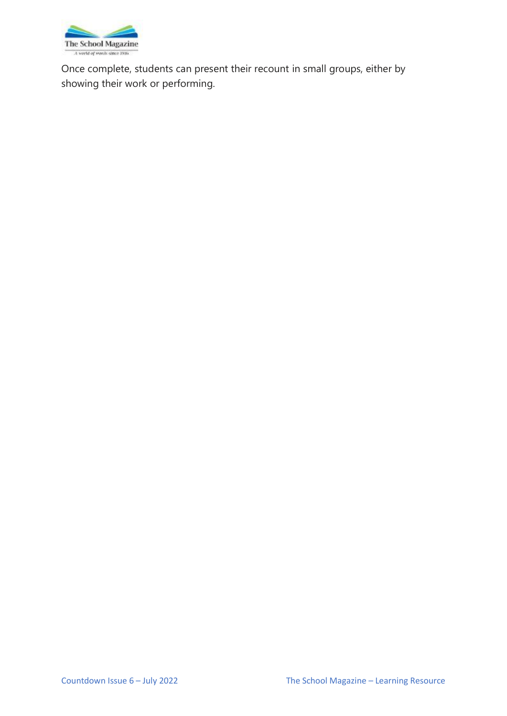

Once complete, students can present their recount in small groups, either by showing their work or performing.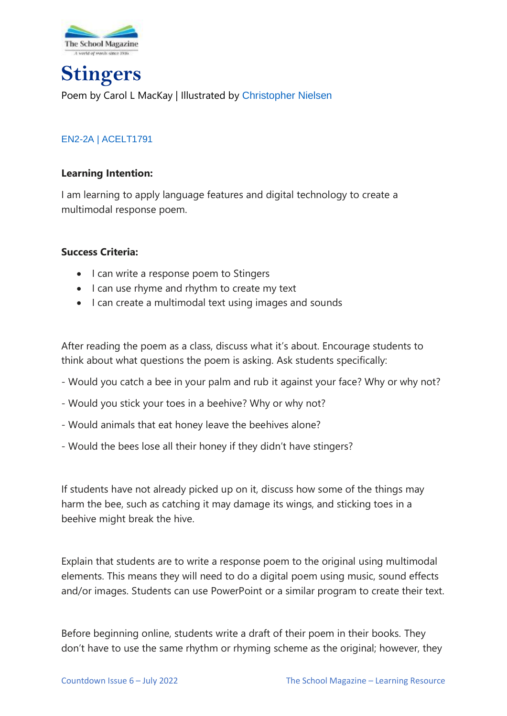

**Stingers** Poem by Carol L MacKay | Illustrated by [Christopher Nielsen](http://www.chrisillo.com/)

# [EN2-2A](https://educationstandards.nsw.edu.au/wps/portal/nesa/k-10/learning-areas/english-year-10/english-k-10/content/887) | [ACELT1791](https://www.australiancurriculum.edu.au/Search/?q=ACELT1791)

#### **Learning Intention:**

I am learning to apply language features and digital technology to create a multimodal response poem.

#### **Success Criteria:**

- I can write a response poem to Stingers
- I can use rhyme and rhythm to create my text
- I can create a multimodal text using images and sounds

After reading the poem as a class, discuss what it's about. Encourage students to think about what questions the poem is asking. Ask students specifically:

- Would you catch a bee in your palm and rub it against your face? Why or why not?
- Would you stick your toes in a beehive? Why or why not?
- Would animals that eat honey leave the beehives alone?
- Would the bees lose all their honey if they didn't have stingers?

If students have not already picked up on it, discuss how some of the things may harm the bee, such as catching it may damage its wings, and sticking toes in a beehive might break the hive.

Explain that students are to write a response poem to the original using multimodal elements. This means they will need to do a digital poem using music, sound effects and/or images. Students can use PowerPoint or a similar program to create their text.

Before beginning online, students write a draft of their poem in their books. They don't have to use the same rhythm or rhyming scheme as the original; however, they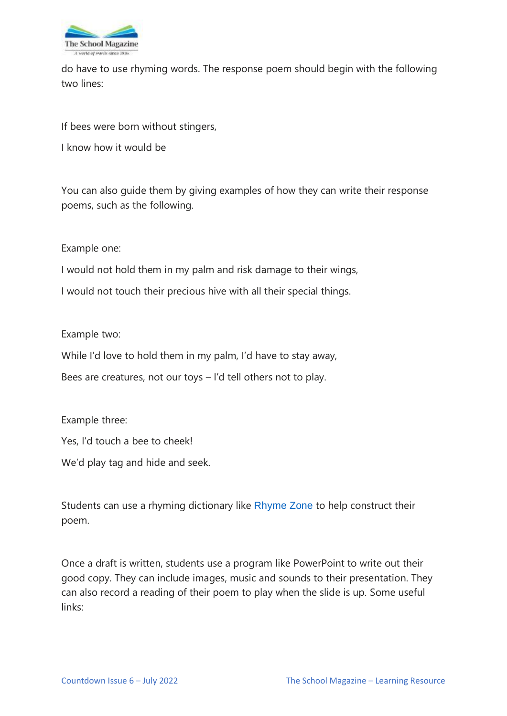

do have to use rhyming words. The response poem should begin with the following two lines:

If bees were born without stingers,

I know how it would be

You can also guide them by giving examples of how they can write their response poems, such as the following.

Example one:

I would not hold them in my palm and risk damage to their wings,

I would not touch their precious hive with all their special things.

Example two:

While I'd love to hold them in my palm, I'd have to stay away,

Bees are creatures, not our toys – I'd tell others not to play.

Example three:

Yes, I'd touch a bee to cheek!

We'd play tag and hide and seek.

Students can use a rhyming dictionary like [Rhyme Zone](https://www.rhymezone.com/) to help construct their poem.

Once a draft is written, students use a program like PowerPoint to write out their good copy. They can include images, music and sounds to their presentation. They can also record a reading of their poem to play when the slide is up. Some useful links: